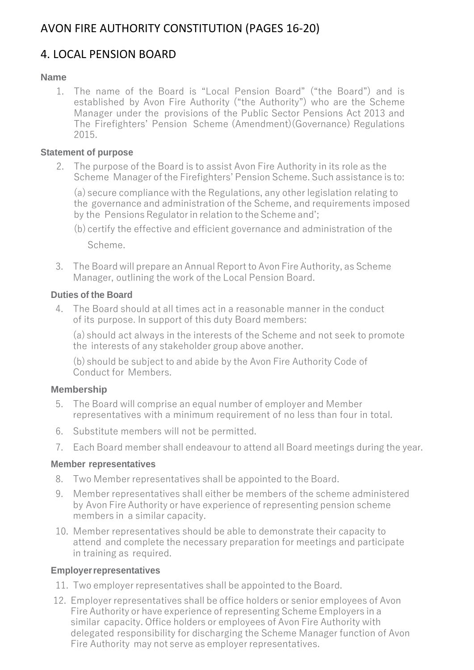# AVON FIRE AUTHORITY CONSTITUTION (PAGES 16-20)

# 4. LOCAL PENSION BOARD

### **Name**

1. The name of the Board is "Local Pension Board" ("the Board") and is established by Avon Fire Authority ("the Authority") who are the Scheme Manager under the provisions of the Public Sector Pensions Act 2013 and The Firefighters' Pension Scheme (Amendment)(Governance) Regulations 2015.

#### **Statement of purpose**

2. The purpose of the Board is to assist Avon Fire Authority in its role as the Scheme Manager of the Firefighters' Pension Scheme. Such assistance is to:

(a) secure compliance with the Regulations, any other legislation relating to the governance and administration of the Scheme, and requirements imposed by the Pensions Regulatorin relation to the Scheme and';

3. The Board will prepare an Annual Report to Avon Fire Authority, as Scheme Manager, outlining the work of the Local Pension Board.

### **Duties of the Board**

4. The Board should at all times act in a reasonable manner in the conduct of its purpose. In support of this duty Board members:

(a) should act always in the interests of the Scheme and not seek to promote the interests of any stakeholder group above another.

(b) should be subject to and abide by the Avon Fire Authority Code of Conduct for Members.

#### **Membership**

- 5. The Board will comprise an equal number of employer and Member representatives with a minimum requirement of no less than four in total.
- 6. Substitute members will not be permitted.
- 7. Each Board member shall endeavour to attend all Board meetings during the year.

#### **Member representatives**

- 8. Two Member representatives shall be appointed to the Board.
- 9. Member representatives shall either be members of the scheme administered by Avon Fire Authority or have experience of representing pension scheme members in a similar capacity.
- 10. Member representatives should be able to demonstrate their capacity to attend and complete the necessary preparation for meetings and participate in training as required.

#### **Employerrepresentatives**

- 11. Two employer representatives shall be appointed to the Board.
- 12. Employer representatives shall be office holders or senior employees of Avon Fire Authority or have experience of representing Scheme Employers in a similar capacity. Office holders or employees of Avon Fire Authority with delegated responsibility for discharging the Scheme Manager function of Avon Fire Authority may not serve as employer representatives.

<sup>(</sup>b) certify the effective and efficient governance and administration of the Scheme.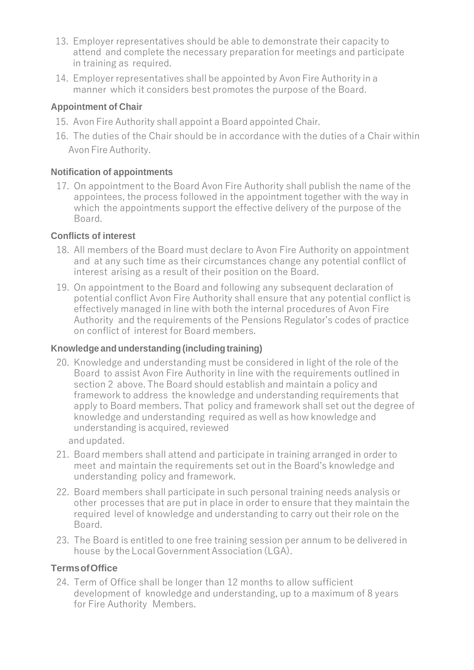- 13. Employer representatives should be able to demonstrate their capacity to attend and complete the necessary preparation for meetings and participate in training as required.
- 14. Employer representatives shall be appointed by Avon Fire Authority in a manner which it considers best promotes the purpose of the Board.

## **Appointment of Chair**

- 15. Avon Fire Authority shall appoint a Board appointed Chair.
- 16. The duties of the Chair should be in accordance with the duties of a Chair within Avon Fire Authority.

#### **Notification of appointments**

17. On appointment to the Board Avon Fire Authority shall publish the name of the appointees, the process followed in the appointment together with the way in which the appointments support the effective delivery of the purpose of the Board.

#### **Conflicts of interest**

- 18. All members of the Board must declare to Avon Fire Authority on appointment and at any such time as their circumstances change any potential conflict of interest arising as a result of their position on the Board.
- 19. On appointment to the Board and following any subsequent declaration of potential conflict Avon Fire Authority shall ensure that any potential conflict is effectively managed in line with both the internal procedures of Avon Fire Authority and the requirements of the Pensions Regulator's codes of practice on conflict of interest for Board members.

#### **Knowledge and understanding (including training)**

- 20. Knowledge and understanding must be considered in light of the role of the Board to assist Avon Fire Authority in line with the requirements outlined in section 2 above. The Board should establish and maintain a policy and framework to address the knowledge and understanding requirements that apply to Board members. That policy and framework shall set out the degree of knowledge and understanding required as well as how knowledge and understanding is acquired, reviewed andupdated.
- 21. Board members shall attend and participate in training arranged in order to meet and maintain the requirements set out in the Board's knowledge and understanding policy and framework.
- 22. Board members shall participate in such personal training needs analysis or other processes that are put in place in order to ensure that they maintain the required level of knowledge and understanding to carry out their role on the Board.
- 23. The Board is entitled to one free training session per annum to be delivered in house by the Local GovernmentAssociation (LGA).

#### **TermsofOffice**

24. Term of Office shall be longer than 12 months to allow sufficient development of knowledge and understanding, up to a maximum of 8 years for Fire Authority Members.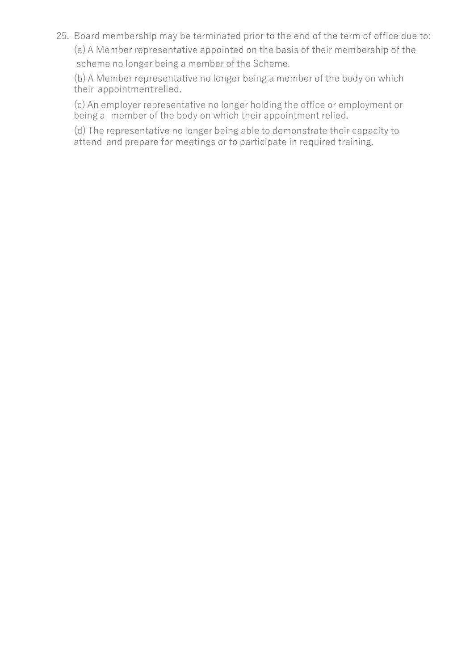25. Board membership may be terminated prior to the end of the term of office due to: (a)A Member representative appointed on the basis of their membership of the scheme no longer being a member of the Scheme.

(b)A Member representative no longer being a member of the body on which their appointmentrelied.

(c) An employer representative no longer holding the office or employment or being a member of the body on which their appointment relied.

(d)The representative no longer being able to demonstrate their capacity to attend and prepare for meetings or to participate in required training.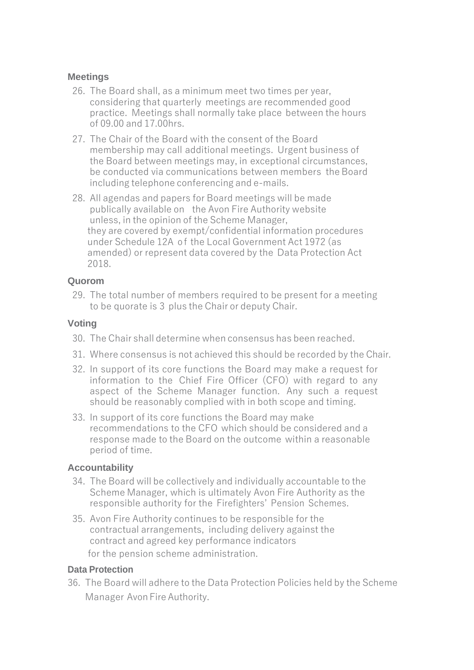#### **Meetings**

- 26. The Board shall, as a minimum meet two times per year, considering that quarterly meetings are recommended good practice. Meetings shall normally take place between the hours of 09.00 and 17.00hrs.
- 27. The Chair of the Board with the consent of the Board membership may call additional meetings. Urgent business of the Board between meetings may, in exceptional circumstances, be conducted via communications between members the Board including telephone conferencing and e-mails.
- 28. All agendas and papers for Board meetings will be made publically available on the Avon Fire Authority website unless, in the opinion of the Scheme Manager, they are covered by exempt/confidential information procedures under Schedule 12A of the Local Government Act 1972 (as amended) or represent data covered by the Data Protection Act 2018.

#### **Quorom**

29. The total number of members required to be present for a meeting to be quorate is 3 plus the Chair or deputy Chair.

#### **Voting**

- 30. The Chair shall determine when consensus has been reached.
- 31. Where consensus is not achieved this should be recorded by the Chair.
- 32. In support of its core functions the Board may make a request for information to the Chief Fire Officer (CFO) with regard to any aspect of the Scheme Manager function. Any such a request should be reasonably complied with in both scope and timing.
- 33. In support of its core functions the Board may make recommendations to the CFO which should be considered and a response made to the Board on the outcome within a reasonable period of time.

#### **Accountability**

- 34. The Board will be collectively and individually accountable to the Scheme Manager, which is ultimately Avon Fire Authority as the responsible authority for the Firefighters' Pension Schemes.
- 35. Avon Fire Authority continues to be responsible for the contractual arrangements, including delivery against the contract and agreed key performance indicators for the pension scheme administration.

#### **Data Protection**

36. The Board will adhere to the Data Protection Policies held by the Scheme Manager Avon Fire Authority.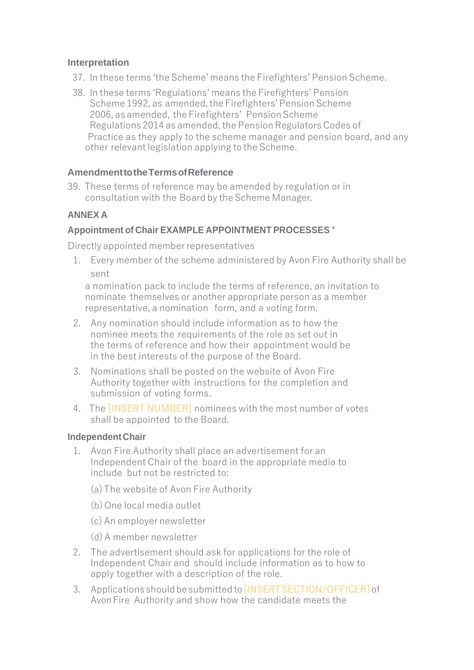#### **Interpretation**

- 37. In these terms 'the Scheme' means the Firefighters' Pension Scheme.
- 38. In these terms 'Regulations' means the Firefighters' Pension Scheme 1992, as amended, the Firefighters' Pension Scheme 2006, as amended, the Firefighters' Pension Scheme Regulations 2014 as amended, the Pension Regulators Codes of Practice as they apply to the scheme manager and pension board, and any other relevant legislation applying to the Scheme.

## **AmendmenttotheTermsofReference**

39. These terms of reference may be amended by regulation or in consultation with the Board by the Scheme Manager.

## **ANNEX A**

## **Appointment of Chair EXAMPLE APPOINTMENT PROCESSES** \*

Directly appointed memberrepresentatives

1. Every member of the scheme administered by Avon Fire Authority shall be sent

a nomination pack to include the terms of reference, an invitation to nominate themselves or another appropriate person as a member representative, a nomination form, and a voting form.

- 2. Any nomination should include information as to how the nominee meets the requirements of the role as set out in the terms of reference and how their appointment would be in the best interests of the purpose of the Board.
- 3. Nominations shall be posted on the website of Avon Fire Authority together with instructions for the completion and submission of voting forms.
- 4. The [INSERT NUMBER] nominees with the most number of votes shall be appointed to the Board.

## **Independent Chair**

- 1. Avon Fire Authority shall place an advertisement for an Independent Chair of the board in the appropriate media to include but not be restricted to:
	- (a)The website of Avon Fire Authority
	- (b)One local media outlet
	- (c) An employer newsletter
	- (d)A member newsletter
- 2. The advertisement should ask for applications for the role of Independent Chair and should include information as to how to apply together with a description of the role.
- 3. Applications should be submitted to **[INSERT SECTION/OFFICER]** of AvonFire Authority and show how the candidate meets the